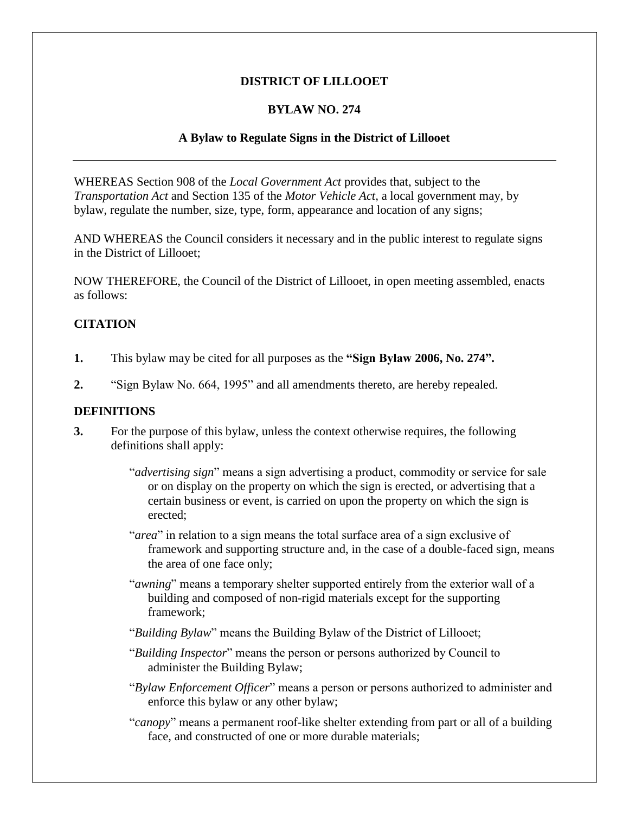## **DISTRICT OF LILLOOET**

## **BYLAW NO. 274**

## **A Bylaw to Regulate Signs in the District of Lillooet**

WHEREAS Section 908 of the *Local Government Act* provides that, subject to the *Transportation Act* and Section 135 of the *Motor Vehicle Act,* a local government may, by bylaw, regulate the number, size, type, form, appearance and location of any signs;

AND WHEREAS the Council considers it necessary and in the public interest to regulate signs in the District of Lillooet;

NOW THEREFORE, the Council of the District of Lillooet, in open meeting assembled, enacts as follows:

## **CITATION**

- **1.** This bylaw may be cited for all purposes as the **"Sign Bylaw 2006, No. 274".**
- **2.** "Sign Bylaw No. 664, 1995" and all amendments thereto, are hereby repealed.

#### **DEFINITIONS**

- **3.** For the purpose of this bylaw, unless the context otherwise requires, the following definitions shall apply:
	- "*advertising sign*" means a sign advertising a product, commodity or service for sale or on display on the property on which the sign is erected, or advertising that a certain business or event, is carried on upon the property on which the sign is erected;
	- "*area*" in relation to a sign means the total surface area of a sign exclusive of framework and supporting structure and, in the case of a double-faced sign, means the area of one face only;
	- "*awning*" means a temporary shelter supported entirely from the exterior wall of a building and composed of non-rigid materials except for the supporting framework;
	- "*Building Bylaw*" means the Building Bylaw of the District of Lillooet;
	- "*Building Inspector*" means the person or persons authorized by Council to administer the Building Bylaw;
	- "*Bylaw Enforcement Officer*" means a person or persons authorized to administer and enforce this bylaw or any other bylaw;
	- "*canopy*" means a permanent roof-like shelter extending from part or all of a building face, and constructed of one or more durable materials;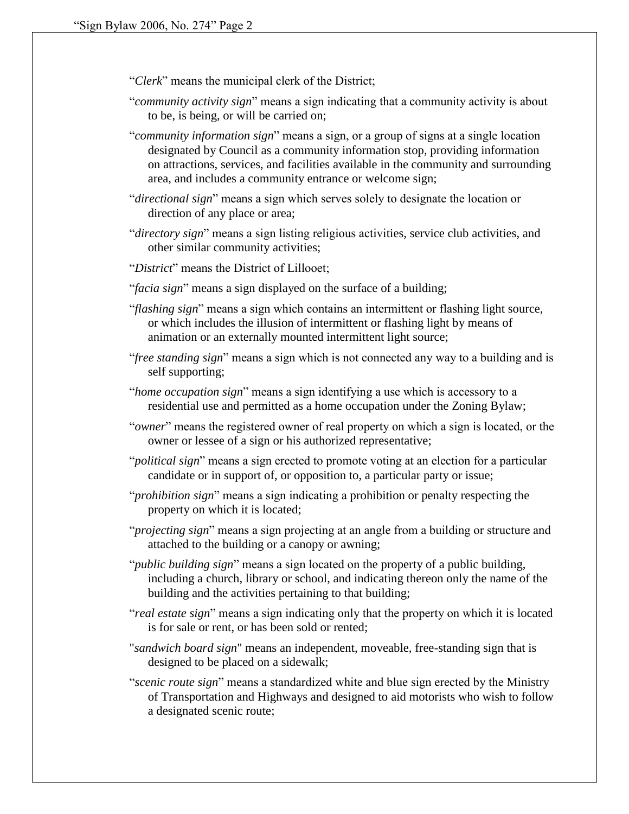"*Clerk*" means the municipal clerk of the District;

- "*community activity sign*" means a sign indicating that a community activity is about to be, is being, or will be carried on;
- "*community information sign*" means a sign, or a group of signs at a single location designated by Council as a community information stop, providing information on attractions, services, and facilities available in the community and surrounding area, and includes a community entrance or welcome sign;
- "*directional sign*" means a sign which serves solely to designate the location or direction of any place or area;
- "*directory sign*" means a sign listing religious activities, service club activities, and other similar community activities;
- "*District*" means the District of Lillooet;
- "*facia sign*" means a sign displayed on the surface of a building;
- "*flashing sign*" means a sign which contains an intermittent or flashing light source, or which includes the illusion of intermittent or flashing light by means of animation or an externally mounted intermittent light source;
- "*free standing sign*" means a sign which is not connected any way to a building and is self supporting;
- "*home occupation sign*" means a sign identifying a use which is accessory to a residential use and permitted as a home occupation under the Zoning Bylaw;
- "*owner*" means the registered owner of real property on which a sign is located, or the owner or lessee of a sign or his authorized representative;
- "*political sign*" means a sign erected to promote voting at an election for a particular candidate or in support of, or opposition to, a particular party or issue;
- "*prohibition sign*" means a sign indicating a prohibition or penalty respecting the property on which it is located;
- "*projecting sign*" means a sign projecting at an angle from a building or structure and attached to the building or a canopy or awning;
- "*public building sign*" means a sign located on the property of a public building, including a church, library or school, and indicating thereon only the name of the building and the activities pertaining to that building;
- "*real estate sign*" means a sign indicating only that the property on which it is located is for sale or rent, or has been sold or rented;
- "*sandwich board sign*" means an independent, moveable, free-standing sign that is designed to be placed on a sidewalk;
- "*scenic route sign*" means a standardized white and blue sign erected by the Ministry of Transportation and Highways and designed to aid motorists who wish to follow a designated scenic route;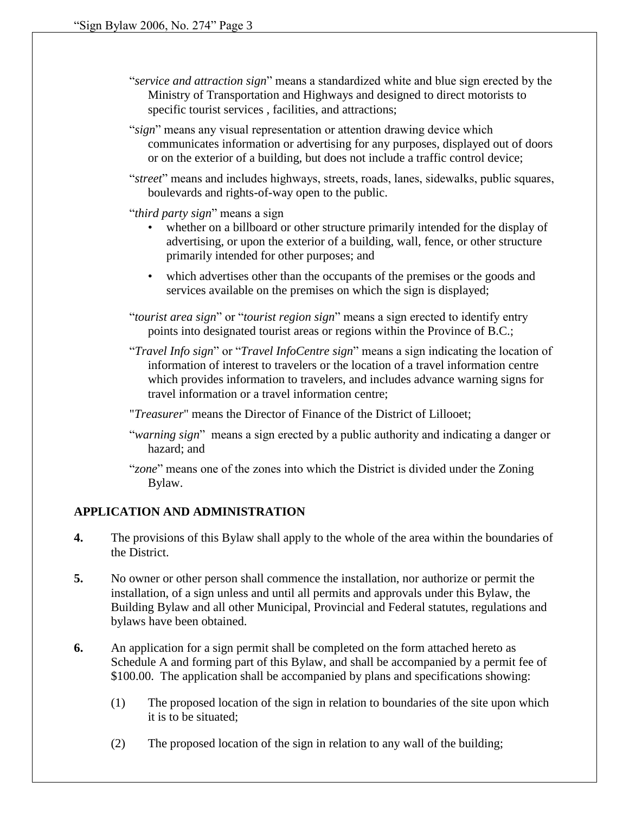- "*service and attraction sign*" means a standardized white and blue sign erected by the Ministry of Transportation and Highways and designed to direct motorists to specific tourist services, facilities, and attractions;
- "*sign*" means any visual representation or attention drawing device which communicates information or advertising for any purposes, displayed out of doors or on the exterior of a building, but does not include a traffic control device;
- "*street*" means and includes highways, streets, roads, lanes, sidewalks, public squares, boulevards and rights-of-way open to the public.
- "*third party sign*" means a sign
	- whether on a billboard or other structure primarily intended for the display of advertising, or upon the exterior of a building, wall, fence, or other structure primarily intended for other purposes; and
	- which advertises other than the occupants of the premises or the goods and services available on the premises on which the sign is displayed;

"*tourist area sign*" or "*tourist region sign*" means a sign erected to identify entry points into designated tourist areas or regions within the Province of B.C.;

"*Travel Info sign*" or "*Travel InfoCentre sign*" means a sign indicating the location of information of interest to travelers or the location of a travel information centre which provides information to travelers, and includes advance warning signs for travel information or a travel information centre;

"*Treasurer*" means the Director of Finance of the District of Lillooet;

- "*warning sign*" means a sign erected by a public authority and indicating a danger or hazard; and
- "*zone*" means one of the zones into which the District is divided under the Zoning Bylaw.

# **APPLICATION AND ADMINISTRATION**

- **4.** The provisions of this Bylaw shall apply to the whole of the area within the boundaries of the District.
- **5.** No owner or other person shall commence the installation, nor authorize or permit the installation, of a sign unless and until all permits and approvals under this Bylaw, the Building Bylaw and all other Municipal, Provincial and Federal statutes, regulations and bylaws have been obtained.
- **6.** An application for a sign permit shall be completed on the form attached hereto as Schedule A and forming part of this Bylaw, and shall be accompanied by a permit fee of \$100.00. The application shall be accompanied by plans and specifications showing:
	- (1) The proposed location of the sign in relation to boundaries of the site upon which it is to be situated;
	- (2) The proposed location of the sign in relation to any wall of the building;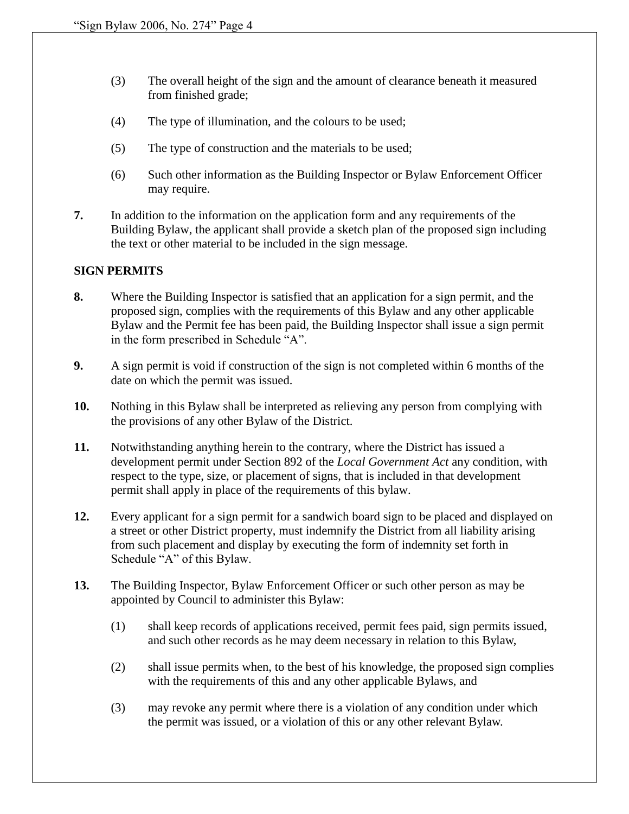- (3) The overall height of the sign and the amount of clearance beneath it measured from finished grade;
- (4) The type of illumination, and the colours to be used;
- (5) The type of construction and the materials to be used;
- (6) Such other information as the Building Inspector or Bylaw Enforcement Officer may require.
- **7.** In addition to the information on the application form and any requirements of the Building Bylaw, the applicant shall provide a sketch plan of the proposed sign including the text or other material to be included in the sign message.

#### **SIGN PERMITS**

- **8.** Where the Building Inspector is satisfied that an application for a sign permit, and the proposed sign, complies with the requirements of this Bylaw and any other applicable Bylaw and the Permit fee has been paid, the Building Inspector shall issue a sign permit in the form prescribed in Schedule "A".
- **9.** A sign permit is void if construction of the sign is not completed within 6 months of the date on which the permit was issued.
- **10.** Nothing in this Bylaw shall be interpreted as relieving any person from complying with the provisions of any other Bylaw of the District.
- **11.** Notwithstanding anything herein to the contrary, where the District has issued a development permit under Section 892 of the *Local Government Act* any condition, with respect to the type, size, or placement of signs, that is included in that development permit shall apply in place of the requirements of this bylaw.
- **12.** Every applicant for a sign permit for a sandwich board sign to be placed and displayed on a street or other District property, must indemnify the District from all liability arising from such placement and display by executing the form of indemnity set forth in Schedule "A" of this Bylaw.
- **13.** The Building Inspector, Bylaw Enforcement Officer or such other person as may be appointed by Council to administer this Bylaw:
	- (1) shall keep records of applications received, permit fees paid, sign permits issued, and such other records as he may deem necessary in relation to this Bylaw,
	- (2) shall issue permits when, to the best of his knowledge, the proposed sign complies with the requirements of this and any other applicable Bylaws, and
	- (3) may revoke any permit where there is a violation of any condition under which the permit was issued, or a violation of this or any other relevant Bylaw.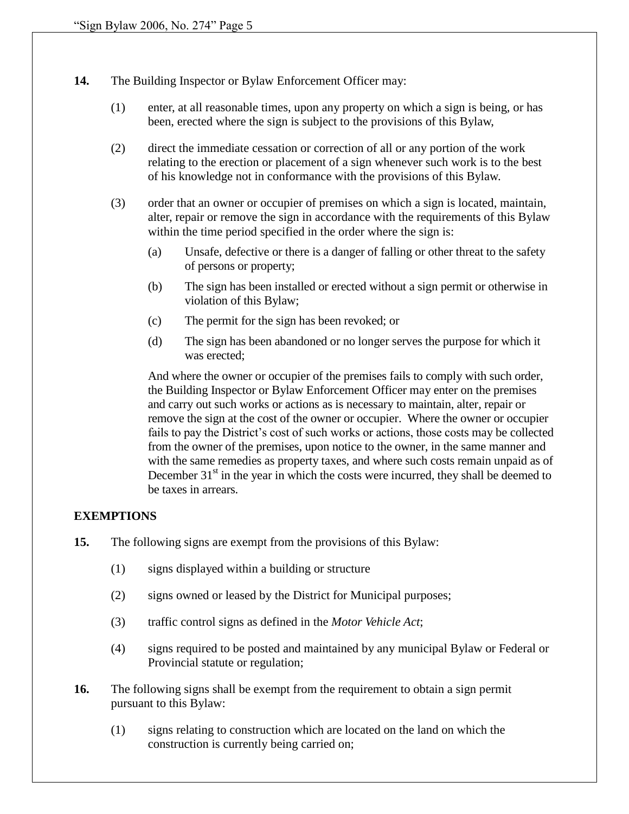- **14.** The Building Inspector or Bylaw Enforcement Officer may:
	- (1) enter, at all reasonable times, upon any property on which a sign is being, or has been, erected where the sign is subject to the provisions of this Bylaw,
	- (2) direct the immediate cessation or correction of all or any portion of the work relating to the erection or placement of a sign whenever such work is to the best of his knowledge not in conformance with the provisions of this Bylaw.
	- (3) order that an owner or occupier of premises on which a sign is located, maintain, alter, repair or remove the sign in accordance with the requirements of this Bylaw within the time period specified in the order where the sign is:
		- (a) Unsafe, defective or there is a danger of falling or other threat to the safety of persons or property;
		- (b) The sign has been installed or erected without a sign permit or otherwise in violation of this Bylaw;
		- (c) The permit for the sign has been revoked; or
		- (d) The sign has been abandoned or no longer serves the purpose for which it was erected;

And where the owner or occupier of the premises fails to comply with such order, the Building Inspector or Bylaw Enforcement Officer may enter on the premises and carry out such works or actions as is necessary to maintain, alter, repair or remove the sign at the cost of the owner or occupier. Where the owner or occupier fails to pay the District's cost of such works or actions, those costs may be collected from the owner of the premises, upon notice to the owner, in the same manner and with the same remedies as property taxes, and where such costs remain unpaid as of December  $31<sup>st</sup>$  in the year in which the costs were incurred, they shall be deemed to be taxes in arrears.

## **EXEMPTIONS**

- **15.** The following signs are exempt from the provisions of this Bylaw:
	- (1) signs displayed within a building or structure
	- (2) signs owned or leased by the District for Municipal purposes;
	- (3) traffic control signs as defined in the *Motor Vehicle Act*;
	- (4) signs required to be posted and maintained by any municipal Bylaw or Federal or Provincial statute or regulation;
- **16.** The following signs shall be exempt from the requirement to obtain a sign permit pursuant to this Bylaw:
	- (1) signs relating to construction which are located on the land on which the construction is currently being carried on;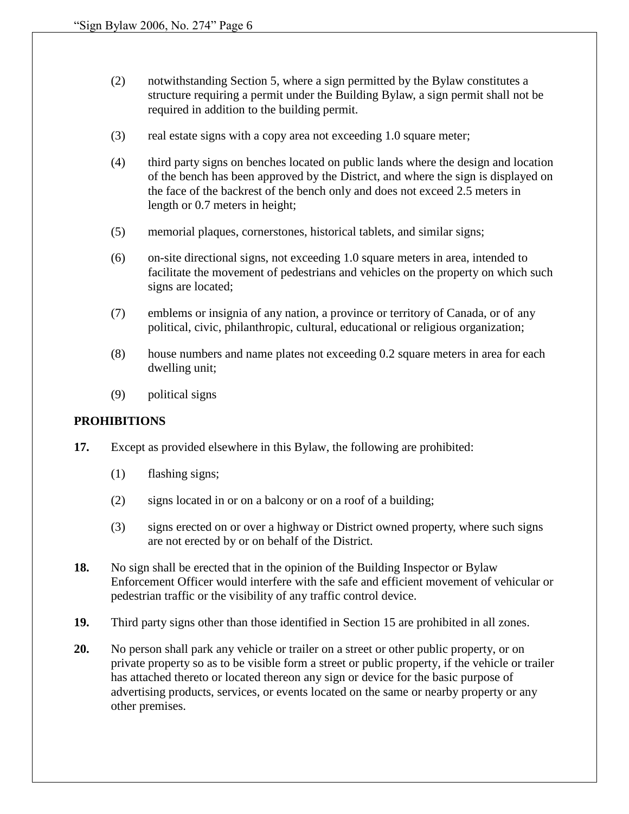- (2) notwithstanding Section 5, where a sign permitted by the Bylaw constitutes a structure requiring a permit under the Building Bylaw, a sign permit shall not be required in addition to the building permit.
- (3) real estate signs with a copy area not exceeding 1.0 square meter;
- (4) third party signs on benches located on public lands where the design and location of the bench has been approved by the District, and where the sign is displayed on the face of the backrest of the bench only and does not exceed 2.5 meters in length or 0.7 meters in height;
- (5) memorial plaques, cornerstones, historical tablets, and similar signs;
- (6) on-site directional signs, not exceeding 1.0 square meters in area, intended to facilitate the movement of pedestrians and vehicles on the property on which such signs are located;
- (7) emblems or insignia of any nation, a province or territory of Canada, or of any political, civic, philanthropic, cultural, educational or religious organization;
- (8) house numbers and name plates not exceeding 0.2 square meters in area for each dwelling unit;
- (9) political signs

## **PROHIBITIONS**

- **17.** Except as provided elsewhere in this Bylaw, the following are prohibited:
	- (1) flashing signs;
	- (2) signs located in or on a balcony or on a roof of a building;
	- (3) signs erected on or over a highway or District owned property, where such signs are not erected by or on behalf of the District.
- **18.** No sign shall be erected that in the opinion of the Building Inspector or Bylaw Enforcement Officer would interfere with the safe and efficient movement of vehicular or pedestrian traffic or the visibility of any traffic control device.
- **19.** Third party signs other than those identified in Section 15 are prohibited in all zones.
- **20.** No person shall park any vehicle or trailer on a street or other public property, or on private property so as to be visible form a street or public property, if the vehicle or trailer has attached thereto or located thereon any sign or device for the basic purpose of advertising products, services, or events located on the same or nearby property or any other premises.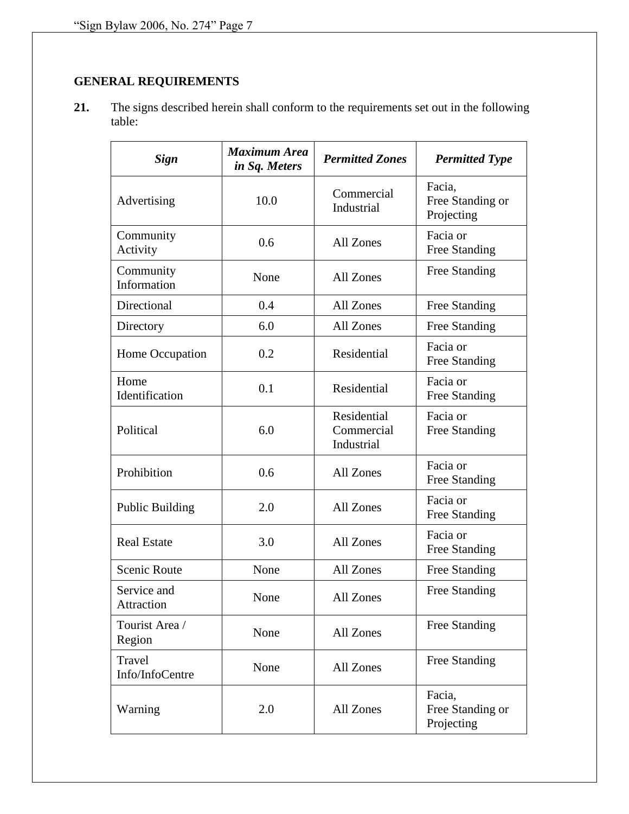# **GENERAL REQUIREMENTS**

**21.** The signs described herein shall conform to the requirements set out in the following table:

| <b>Sign</b>               | <b>Maximum Area</b><br>in Sq. Meters | <b>Permitted Zones</b>                  | <b>Permitted Type</b>                    |  |
|---------------------------|--------------------------------------|-----------------------------------------|------------------------------------------|--|
| Advertising               | 10.0                                 | Commercial<br>Industrial                | Facia,<br>Free Standing or<br>Projecting |  |
| Community<br>Activity     | 0.6                                  | All Zones                               | Facia or<br>Free Standing                |  |
| Community<br>Information  | None                                 | All Zones                               | Free Standing                            |  |
| Directional               | 0.4                                  | All Zones                               | Free Standing                            |  |
| Directory                 | 6.0                                  | All Zones                               | Free Standing                            |  |
| Home Occupation           | 0.2                                  | Residential                             | Facia or<br>Free Standing                |  |
| Home<br>Identification    | 0.1                                  | Residential                             | Facia or<br>Free Standing                |  |
| Political                 | 6.0                                  | Residential<br>Commercial<br>Industrial | Facia or<br>Free Standing                |  |
| Prohibition               | 0.6                                  | All Zones                               | Facia or<br>Free Standing                |  |
| <b>Public Building</b>    | 2.0                                  | All Zones                               | Facia or<br><b>Free Standing</b>         |  |
| <b>Real Estate</b>        | 3.0                                  | All Zones                               | Facia or<br>Free Standing                |  |
| <b>Scenic Route</b>       | None                                 | All Zones                               | Free Standing                            |  |
| Service and<br>Attraction | None                                 | All Zones                               | Free Standing                            |  |
| Tourist Area /<br>Region  | None                                 | All Zones                               | Free Standing                            |  |
| Travel<br>Info/InfoCentre | None                                 | All Zones                               | Free Standing                            |  |
| Warning                   | 2.0                                  | All Zones                               | Facia,<br>Free Standing or<br>Projecting |  |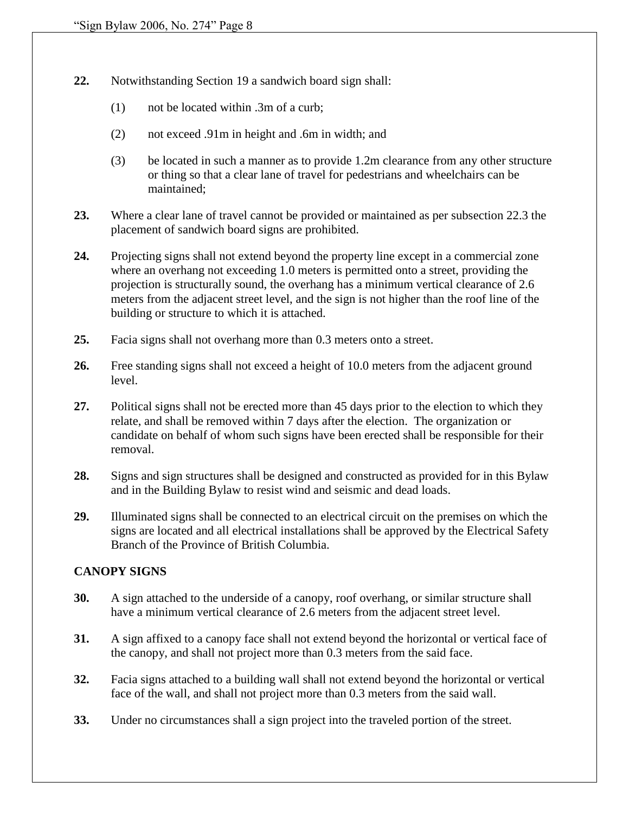- **22.** Notwithstanding Section 19 a sandwich board sign shall:
	- (1) not be located within .3m of a curb;
	- (2) not exceed .91m in height and .6m in width; and
	- (3) be located in such a manner as to provide 1.2m clearance from any other structure or thing so that a clear lane of travel for pedestrians and wheelchairs can be maintained;
- **23.** Where a clear lane of travel cannot be provided or maintained as per subsection 22.3 the placement of sandwich board signs are prohibited.
- **24.** Projecting signs shall not extend beyond the property line except in a commercial zone where an overhang not exceeding 1.0 meters is permitted onto a street, providing the projection is structurally sound, the overhang has a minimum vertical clearance of 2.6 meters from the adjacent street level, and the sign is not higher than the roof line of the building or structure to which it is attached.
- **25.** Facia signs shall not overhang more than 0.3 meters onto a street.
- **26.** Free standing signs shall not exceed a height of 10.0 meters from the adjacent ground level.
- **27.** Political signs shall not be erected more than 45 days prior to the election to which they relate, and shall be removed within 7 days after the election. The organization or candidate on behalf of whom such signs have been erected shall be responsible for their removal.
- **28.** Signs and sign structures shall be designed and constructed as provided for in this Bylaw and in the Building Bylaw to resist wind and seismic and dead loads.
- **29.** Illuminated signs shall be connected to an electrical circuit on the premises on which the signs are located and all electrical installations shall be approved by the Electrical Safety Branch of the Province of British Columbia.

## **CANOPY SIGNS**

- **30.** A sign attached to the underside of a canopy, roof overhang, or similar structure shall have a minimum vertical clearance of 2.6 meters from the adjacent street level.
- **31.** A sign affixed to a canopy face shall not extend beyond the horizontal or vertical face of the canopy, and shall not project more than 0.3 meters from the said face.
- **32.** Facia signs attached to a building wall shall not extend beyond the horizontal or vertical face of the wall, and shall not project more than 0.3 meters from the said wall.
- **33.** Under no circumstances shall a sign project into the traveled portion of the street.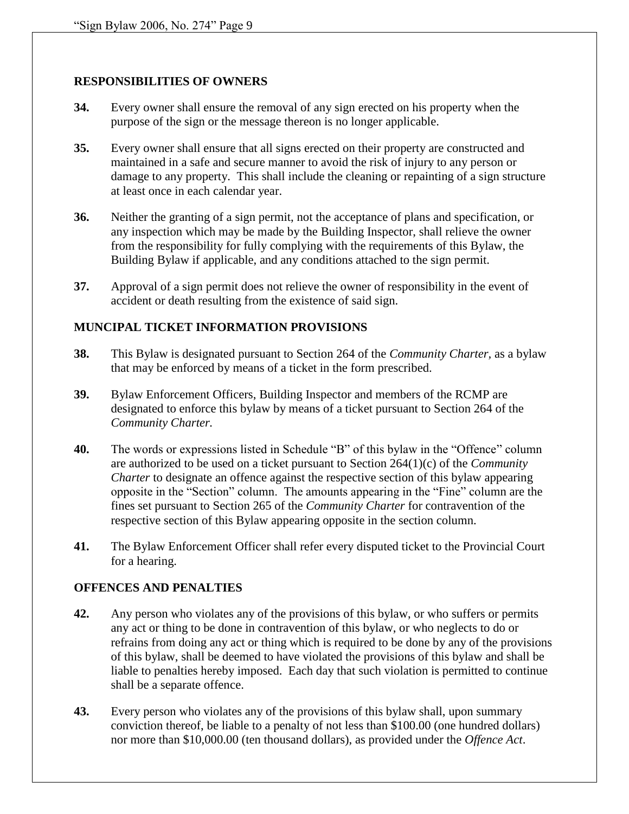#### **RESPONSIBILITIES OF OWNERS**

- **34.** Every owner shall ensure the removal of any sign erected on his property when the purpose of the sign or the message thereon is no longer applicable.
- **35.** Every owner shall ensure that all signs erected on their property are constructed and maintained in a safe and secure manner to avoid the risk of injury to any person or damage to any property. This shall include the cleaning or repainting of a sign structure at least once in each calendar year.
- **36.** Neither the granting of a sign permit, not the acceptance of plans and specification, or any inspection which may be made by the Building Inspector, shall relieve the owner from the responsibility for fully complying with the requirements of this Bylaw, the Building Bylaw if applicable, and any conditions attached to the sign permit.
- **37.** Approval of a sign permit does not relieve the owner of responsibility in the event of accident or death resulting from the existence of said sign.

#### **MUNCIPAL TICKET INFORMATION PROVISIONS**

- **38.** This Bylaw is designated pursuant to Section 264 of the *Community Charter,* as a bylaw that may be enforced by means of a ticket in the form prescribed.
- **39.** Bylaw Enforcement Officers, Building Inspector and members of the RCMP are designated to enforce this bylaw by means of a ticket pursuant to Section 264 of the *Community Charter.*
- **40.** The words or expressions listed in Schedule "B" of this bylaw in the "Offence" column are authorized to be used on a ticket pursuant to Section 264(1)(c) of the *Community Charter* to designate an offence against the respective section of this bylaw appearing opposite in the "Section" column. The amounts appearing in the "Fine" column are the fines set pursuant to Section 265 of the *Community Charter* for contravention of the respective section of this Bylaw appearing opposite in the section column.
- **41.** The Bylaw Enforcement Officer shall refer every disputed ticket to the Provincial Court for a hearing.

## **OFFENCES AND PENALTIES**

- **42.** Any person who violates any of the provisions of this bylaw, or who suffers or permits any act or thing to be done in contravention of this bylaw, or who neglects to do or refrains from doing any act or thing which is required to be done by any of the provisions of this bylaw, shall be deemed to have violated the provisions of this bylaw and shall be liable to penalties hereby imposed. Each day that such violation is permitted to continue shall be a separate offence.
- **43.** Every person who violates any of the provisions of this bylaw shall, upon summary conviction thereof, be liable to a penalty of not less than \$100.00 (one hundred dollars) nor more than \$10,000.00 (ten thousand dollars), as provided under the *Offence Act*.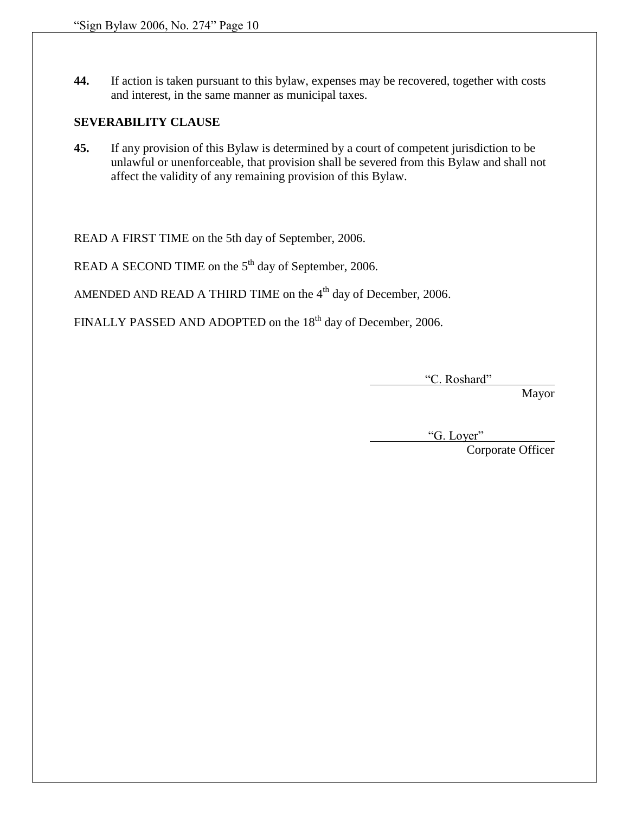**44.** If action is taken pursuant to this bylaw, expenses may be recovered, together with costs and interest, in the same manner as municipal taxes.

#### **SEVERABILITY CLAUSE**

**45.** If any provision of this Bylaw is determined by a court of competent jurisdiction to be unlawful or unenforceable, that provision shall be severed from this Bylaw and shall not affect the validity of any remaining provision of this Bylaw.

READ A FIRST TIME on the 5th day of September, 2006.

READ A SECOND TIME on the  $5<sup>th</sup>$  day of September, 2006.

AMENDED AND READ A THIRD TIME on the  $4<sup>th</sup>$  day of December, 2006.

FINALLY PASSED AND ADOPTED on the 18<sup>th</sup> day of December, 2006.

"C. Roshard"

Mayor

"G. Loyer"

Corporate Officer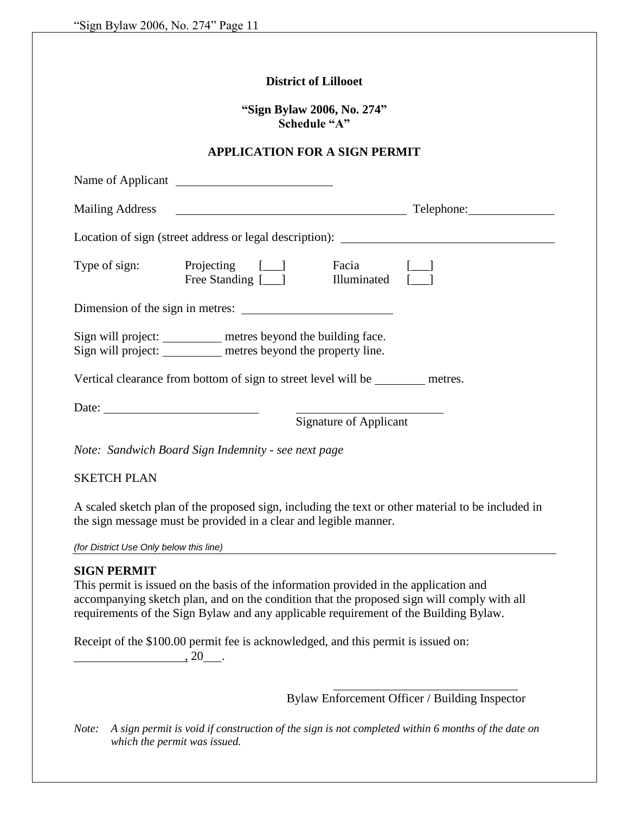|                                                          | <b>District of Lillooet</b>                                                                                                                                                                                                                                                 |                        |                                                                                                   |
|----------------------------------------------------------|-----------------------------------------------------------------------------------------------------------------------------------------------------------------------------------------------------------------------------------------------------------------------------|------------------------|---------------------------------------------------------------------------------------------------|
|                                                          | "Sign Bylaw 2006, No. 274"<br>Schedule "A"                                                                                                                                                                                                                                  |                        |                                                                                                   |
|                                                          | <b>APPLICATION FOR A SIGN PERMIT</b>                                                                                                                                                                                                                                        |                        |                                                                                                   |
|                                                          | Name of Applicant                                                                                                                                                                                                                                                           |                        |                                                                                                   |
|                                                          |                                                                                                                                                                                                                                                                             |                        |                                                                                                   |
|                                                          |                                                                                                                                                                                                                                                                             |                        |                                                                                                   |
|                                                          | Type of sign: Projecting [__] Facia [__]<br>Free Standing [__] Hluminated [__]                                                                                                                                                                                              |                        |                                                                                                   |
|                                                          |                                                                                                                                                                                                                                                                             |                        |                                                                                                   |
|                                                          | Sign will project: _________ metres beyond the building face.<br>Sign will project: _________ metres beyond the property line.                                                                                                                                              |                        |                                                                                                   |
|                                                          | Vertical clearance from bottom of sign to street level will be _________ metres.                                                                                                                                                                                            |                        |                                                                                                   |
| Date: $\frac{1}{\sqrt{1-\frac{1}{2}} \cdot \frac{1}{2}}$ |                                                                                                                                                                                                                                                                             | Signature of Applicant |                                                                                                   |
|                                                          |                                                                                                                                                                                                                                                                             |                        |                                                                                                   |
|                                                          | Note: Sandwich Board Sign Indemnity - see next page                                                                                                                                                                                                                         |                        |                                                                                                   |
| <b>SKETCH PLAN</b>                                       |                                                                                                                                                                                                                                                                             |                        |                                                                                                   |
|                                                          | the sign message must be provided in a clear and legible manner.                                                                                                                                                                                                            |                        | A scaled sketch plan of the proposed sign, including the text or other material to be included in |
| (for District Use Only below this line)                  |                                                                                                                                                                                                                                                                             |                        |                                                                                                   |
| <b>SIGN PERMIT</b>                                       |                                                                                                                                                                                                                                                                             |                        |                                                                                                   |
|                                                          | This permit is issued on the basis of the information provided in the application and<br>accompanying sketch plan, and on the condition that the proposed sign will comply with all<br>requirements of the Sign Bylaw and any applicable requirement of the Building Bylaw. |                        |                                                                                                   |
| $, 20$ .                                                 | Receipt of the \$100.00 permit fee is acknowledged, and this permit is issued on:                                                                                                                                                                                           |                        |                                                                                                   |
|                                                          |                                                                                                                                                                                                                                                                             |                        | Bylaw Enforcement Officer / Building Inspector                                                    |
|                                                          |                                                                                                                                                                                                                                                                             |                        |                                                                                                   |

*Note: A sign permit is void if construction of the sign is not completed within 6 months of the date on which the permit was issued.*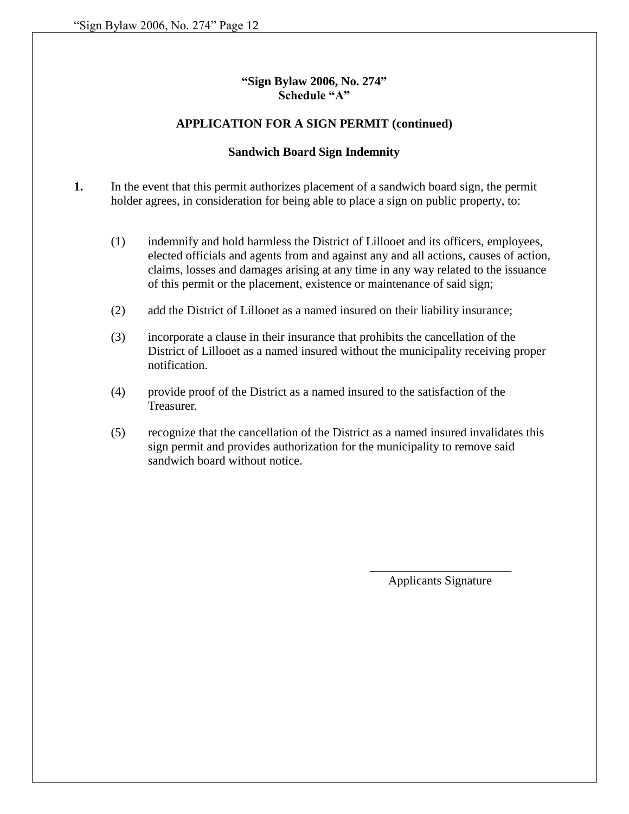## **"Sign Bylaw 2006, No. 274" Schedule "A"**

#### **APPLICATION FOR A SIGN PERMIT (continued)**

#### **Sandwich Board Sign Indemnity**

**1.** In the event that this permit authorizes placement of a sandwich board sign, the permit holder agrees, in consideration for being able to place a sign on public property, to:

- (1) indemnify and hold harmless the District of Lillooet and its officers, employees, elected officials and agents from and against any and all actions, causes of action, claims, losses and damages arising at any time in any way related to the issuance of this permit or the placement, existence or maintenance of said sign;
- (2) add the District of Lillooet as a named insured on their liability insurance;
- (3) incorporate a clause in their insurance that prohibits the cancellation of the District of Lillooet as a named insured without the municipality receiving proper notification.
- (4) provide proof of the District as a named insured to the satisfaction of the Treasurer.
- (5) recognize that the cancellation of the District as a named insured invalidates this sign permit and provides authorization for the municipality to remove said sandwich board without notice.

\_\_\_\_\_\_\_\_\_\_\_\_\_\_\_\_\_\_\_\_\_\_\_ Applicants Signature